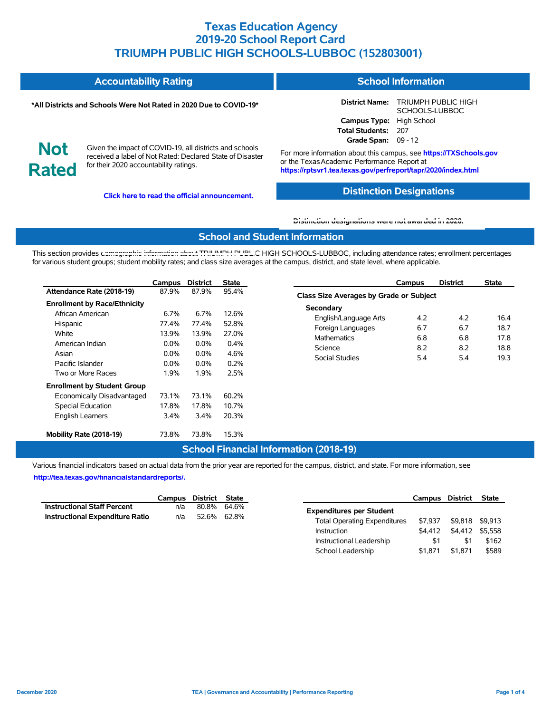|                            | <b>Accountability Rating</b>                                                                                                                                   | <b>School Information</b>                                                                                                                                                         |                                              |  |  |  |  |
|----------------------------|----------------------------------------------------------------------------------------------------------------------------------------------------------------|-----------------------------------------------------------------------------------------------------------------------------------------------------------------------------------|----------------------------------------------|--|--|--|--|
|                            | *All Districts and Schools Were Not Rated in 2020 Due to COVID-19*                                                                                             | <b>District Name:</b>                                                                                                                                                             | <b>TRIUMPH PUBLIC HIGH</b><br>SCHOOLS-LUBBOC |  |  |  |  |
|                            |                                                                                                                                                                | Campus Type: High School                                                                                                                                                          |                                              |  |  |  |  |
|                            |                                                                                                                                                                | Total Students: 207                                                                                                                                                               |                                              |  |  |  |  |
|                            |                                                                                                                                                                | Grade Span: $09 - 12$                                                                                                                                                             |                                              |  |  |  |  |
| <b>Not</b><br><b>Rated</b> | Given the impact of COVID-19, all districts and schools<br>received a label of Not Rated: Declared State of Disaster<br>for their 2020 accountability ratings. | For more information about this campus, see https://TXSchools.gov<br>or the Texas Academic Performance Report at<br>https://rptsvr1.tea.texas.gov/perfreport/tapr/2020/index.html |                                              |  |  |  |  |

**Click here to read the official announcement.**

### **Distinction Designations**

Instructional Leadership  $$1$  \$1 \$162 School Leadership  $$1,871$  \$1,871 \$589

#### **[Distinction designations were not awarded in 2020.](https://rptsvr1.tea.texas.gov/perfreport/tapr/2020/index.html)**

#### **School and Student Information**

This section provides [demographic information about TRIUMPH PUBLI](https://tea.texas.gov/about-tea/news-and-multimedia/correspondence/taa-letters/every-student-succeeds-act-essa-waiver-approval-2020-state-academic-accountability)C HIGH SCHOOLS-LUBBOC, including attendance rates; enrollment percentages for various student groups; student mobility rates; and class size averages at the campus, district, and state level, where applicable.

|                                                                                                                              | Campus                                                  | <b>District</b>                                      | <b>State</b>                                    | <b>District</b><br><b>State</b><br>Campus                                                                                                                                                                                       |
|------------------------------------------------------------------------------------------------------------------------------|---------------------------------------------------------|------------------------------------------------------|-------------------------------------------------|---------------------------------------------------------------------------------------------------------------------------------------------------------------------------------------------------------------------------------|
| Attendance Rate (2018-19)                                                                                                    | 87.9%                                                   | 87.9%                                                | 95.4%                                           | Class Size Averages by Grade or Subject                                                                                                                                                                                         |
| <b>Enrollment by Race/Ethnicity</b><br>African American<br>Hispanic<br>White<br>American Indian<br>Asian<br>Pacific Islander | 6.7%<br>77.4%<br>13.9%<br>$0.0\%$<br>$0.0\%$<br>$0.0\%$ | 6.7%<br>77.4%<br>13.9%<br>$0.0\%$<br>$0.0\%$<br>0.0% | 12.6%<br>52.8%<br>27.0%<br>0.4%<br>4.6%<br>0.2% | Secondary<br>4.2<br>4.2<br>16.4<br>English/Language Arts<br>6.7<br>6.7<br>18.7<br>Foreign Languages<br>6.8<br>6.8<br><b>Mathematics</b><br>17.8<br>8.2<br>8.2<br>18.8<br>Science<br><b>Social Studies</b><br>5.4<br>5.4<br>19.3 |
| Two or More Races                                                                                                            | 1.9%                                                    | 1.9%                                                 | 2.5%                                            |                                                                                                                                                                                                                                 |
| <b>Enrollment by Student Group</b><br>Economically Disadvantaged<br><b>Special Education</b><br><b>English Learners</b>      | 73.1%<br>17.8%<br>3.4%                                  | 73.1%<br>17.8%<br>3.4%                               | 60.2%<br>10.7%<br>20.3%                         |                                                                                                                                                                                                                                 |
| Mobility Rate (2018-19)                                                                                                      | 73.8%                                                   | 73.8%                                                | 15.3%                                           |                                                                                                                                                                                                                                 |

#### **School Financial Information (2018-19)**

Various financial indicators based on actual data from the prior year are reported for the campus, district, and state. For more information, see

**[http://tea.texas.gov/financialstandardreports/.](http://tea.texas.gov/financialstandardreports/)**

|                                    |     | Campus District State | Campus                                         | District        | State |
|------------------------------------|-----|-----------------------|------------------------------------------------|-----------------|-------|
| <b>Instructional Staff Percent</b> | n/a | 80.8% 64.6%           | <b>Expenditures per Student</b>                |                 |       |
| Instructional Expenditure Ratio    | n/a | 52.6% 62.8%           | \$7.937<br><b>Total Operating Expenditures</b> | \$9,818 \$9,913 |       |
|                                    |     |                       | \$4.412<br>Instruction                         | \$4,412 \$5,558 |       |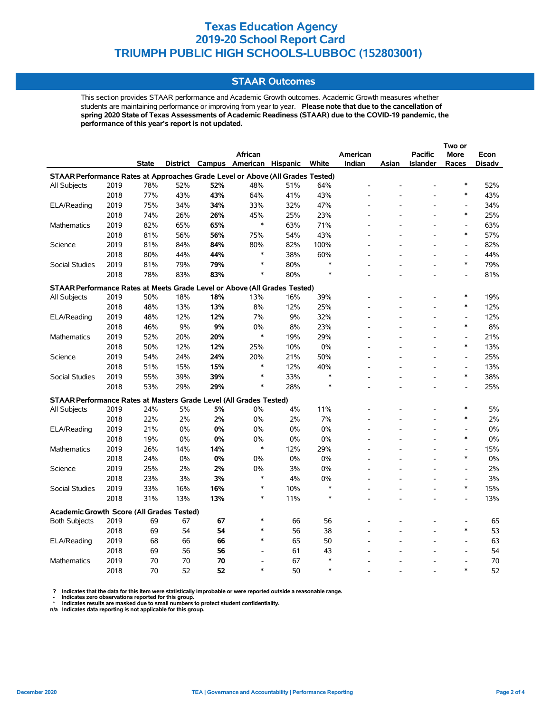### **STAAR Outcomes**

This section provides STAAR performance and Academic Growth outcomes. Academic Growth measures whether students are maintaining performance or improving from year to year. **Please note that due to the cancellation of spring 2020 State of Texas Assessments of Academic Readiness (STAAR) due to the COVID-19 pandemic, the performance of this year's report is not updated.**

|                                                                                |      |              |     |     | African                           |     |        | American |                | <b>Pacific</b>  | <b>More</b>              | Econ          |
|--------------------------------------------------------------------------------|------|--------------|-----|-----|-----------------------------------|-----|--------|----------|----------------|-----------------|--------------------------|---------------|
|                                                                                |      | <b>State</b> |     |     | District Campus American Hispanic |     | White  | Indian   | Asian          | <b>Islander</b> | Races                    | <b>Disadv</b> |
| STAAR Performance Rates at Approaches Grade Level or Above (All Grades Tested) |      |              |     |     |                                   |     |        |          |                |                 |                          |               |
| All Subjects                                                                   | 2019 | 78%          | 52% | 52% | 48%                               | 51% | 64%    |          |                |                 | $\ast$                   | 52%           |
|                                                                                | 2018 | 77%          | 43% | 43% | 64%                               | 41% | 43%    |          |                |                 | $\ast$                   | 43%           |
| ELA/Reading                                                                    | 2019 | 75%          | 34% | 34% | 33%                               | 32% | 47%    |          |                |                 | Ĭ.                       | 34%           |
|                                                                                | 2018 | 74%          | 26% | 26% | 45%                               | 25% | 23%    |          |                |                 | $\ast$                   | 25%           |
| <b>Mathematics</b>                                                             | 2019 | 82%          | 65% | 65% | $\ast$                            | 63% | 71%    |          |                | $\overline{a}$  | $\overline{\phantom{a}}$ | 63%           |
|                                                                                | 2018 | 81%          | 56% | 56% | 75%                               | 54% | 43%    |          |                |                 | $\ast$                   | 57%           |
| Science                                                                        | 2019 | 81%          | 84% | 84% | 80%                               | 82% | 100%   |          |                |                 | $\overline{\phantom{a}}$ | 82%           |
|                                                                                | 2018 | 80%          | 44% | 44% | $\ast$                            | 38% | 60%    |          |                | L,              | $\overline{\phantom{a}}$ | 44%           |
| <b>Social Studies</b>                                                          | 2019 | 81%          | 79% | 79% | $\ast$                            | 80% | $\ast$ |          |                |                 | $\ast$                   | 79%           |
|                                                                                | 2018 | 78%          | 83% | 83% | $\ast$                            | 80% | $\ast$ |          |                |                 | $\blacksquare$           | 81%           |
| STAAR Performance Rates at Meets Grade Level or Above (All Grades Tested)      |      |              |     |     |                                   |     |        |          |                |                 |                          |               |
| All Subjects                                                                   | 2019 | 50%          | 18% | 18% | 13%                               | 16% | 39%    |          |                |                 | $\ast$                   | 19%           |
|                                                                                | 2018 | 48%          | 13% | 13% | 8%                                | 12% | 25%    |          |                |                 | $\ast$                   | 12%           |
| ELA/Reading                                                                    | 2019 | 48%          | 12% | 12% | 7%                                | 9%  | 32%    |          |                |                 | $\overline{\phantom{a}}$ | 12%           |
|                                                                                | 2018 | 46%          | 9%  | 9%  | 0%                                | 8%  | 23%    |          |                |                 | $\ast$                   | 8%            |
| <b>Mathematics</b>                                                             | 2019 | 52%          | 20% | 20% | $\ast$                            | 19% | 29%    |          |                |                 | $\blacksquare$           | 21%           |
|                                                                                | 2018 | 50%          | 12% | 12% | 25%                               | 10% | 0%     |          |                | L.              | $\ast$                   | 13%           |
| Science                                                                        | 2019 | 54%          | 24% | 24% | 20%                               | 21% | 50%    |          |                |                 | $\overline{\phantom{a}}$ | 25%           |
|                                                                                | 2018 | 51%          | 15% | 15% | $\ast$                            | 12% | 40%    |          |                |                 | $\overline{\phantom{a}}$ | 13%           |
| <b>Social Studies</b>                                                          | 2019 | 55%          | 39% | 39% | $\ast$                            | 33% | $\ast$ |          |                |                 | $\ast$                   | 38%           |
|                                                                                | 2018 | 53%          | 29% | 29% | $\ast$                            | 28% | $\ast$ |          |                |                 | $\overline{a}$           | 25%           |
| STAAR Performance Rates at Masters Grade Level (All Grades Tested)             |      |              |     |     |                                   |     |        |          |                |                 |                          |               |
| All Subjects                                                                   | 2019 | 24%          | 5%  | 5%  | 0%                                | 4%  | 11%    |          |                |                 | $\ast$                   | 5%            |
|                                                                                | 2018 | 22%          | 2%  | 2%  | 0%                                | 2%  | 7%     |          |                |                 | $\ast$                   | 2%            |
| ELA/Reading                                                                    | 2019 | 21%          | 0%  | 0%  | 0%                                | 0%  | 0%     |          |                | $\overline{a}$  | $\overline{a}$           | 0%            |
|                                                                                | 2018 | 19%          | 0%  | 0%  | 0%                                | 0%  | 0%     |          |                |                 | $\ast$                   | 0%            |
| <b>Mathematics</b>                                                             | 2019 | 26%          | 14% | 14% | $\ast$                            | 12% | 29%    |          |                |                 | $\overline{\phantom{a}}$ | 15%           |
|                                                                                | 2018 | 24%          | 0%  | 0%  | 0%                                | 0%  | 0%     |          |                |                 | $\ast$                   | 0%            |
| Science                                                                        | 2019 | 25%          | 2%  | 2%  | 0%                                | 3%  | 0%     |          |                |                 | $\overline{\phantom{a}}$ | 2%            |
|                                                                                | 2018 | 23%          | 3%  | 3%  | $\ast$                            | 4%  | 0%     |          |                |                 | $\overline{\phantom{a}}$ | 3%            |
| Social Studies                                                                 | 2019 | 33%          | 16% | 16% | $\ast$                            | 10% | ∗      |          |                | ٠               | $\ast$                   | 15%           |
|                                                                                | 2018 | 31%          | 13% | 13% | $\ast$                            | 11% | $\ast$ |          | $\overline{a}$ | $\overline{a}$  | $\overline{a}$           | 13%           |
|                                                                                |      |              |     |     |                                   |     |        |          |                |                 |                          |               |
| <b>Academic Growth Score (All Grades Tested)</b>                               |      |              |     |     | $\ast$                            |     |        |          |                |                 |                          |               |
| <b>Both Subjects</b>                                                           | 2019 | 69           | 67  | 67  |                                   | 66  | 56     |          |                |                 |                          | 65            |
|                                                                                | 2018 | 69           | 54  | 54  | ∗                                 | 56  | 38     |          |                |                 | $\ast$                   | 53            |
| ELA/Reading                                                                    | 2019 | 68           | 66  | 66  | $\ast$                            | 65  | 50     |          |                |                 | $\overline{a}$           | 63            |
|                                                                                | 2018 | 69           | 56  | 56  | $\overline{a}$                    | 61  | 43     |          |                |                 | L,                       | 54            |
| <b>Mathematics</b>                                                             | 2019 | 70           | 70  | 70  | $\overline{a}$                    | 67  | $\ast$ |          |                |                 | L,                       | 70            |
|                                                                                | 2018 | 70           | 52  | 52  | $\ast$                            | 50  | $\ast$ |          |                |                 | $\ast$                   | 52            |

? Indicates that the data for this item were statistically improbable or were reported outside a reasonable range.<br>- Indicates zero observations reported for this group.<br>\* Indicates results are masked due to small numbers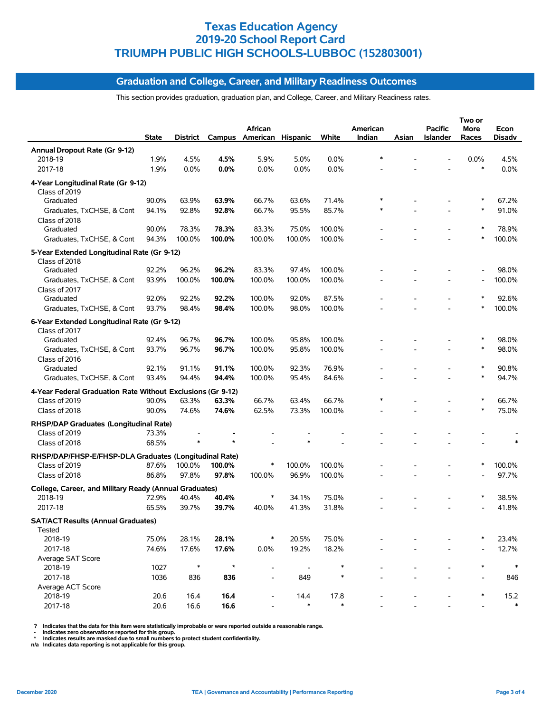### **Graduation and College, Career, and Military Readiness Outcomes**

This section provides graduation, graduation plan, and College, Career, and Military Readiness rates.

|                                                                         | <b>State</b> | District |         | African<br>Campus American Hispanic |        | White  | American<br>Indian | Asian | <b>Pacific</b><br>Islander | Two or<br>More<br>Races | Econ<br><b>Disadv</b> |
|-------------------------------------------------------------------------|--------------|----------|---------|-------------------------------------|--------|--------|--------------------|-------|----------------------------|-------------------------|-----------------------|
| Annual Dropout Rate (Gr 9-12)                                           |              |          |         |                                     |        |        |                    |       |                            |                         |                       |
| 2018-19                                                                 | 1.9%         | 4.5%     | 4.5%    | 5.9%                                | 5.0%   | 0.0%   |                    |       |                            | 0.0%                    | 4.5%                  |
| 2017-18                                                                 | 1.9%         | 0.0%     | 0.0%    | 0.0%                                | 0.0%   | 0.0%   |                    |       |                            | $\ast$                  | 0.0%                  |
| 4-Year Longitudinal Rate (Gr 9-12)<br>Class of 2019                     |              |          |         |                                     |        |        |                    |       |                            |                         |                       |
| Graduated                                                               | 90.0%        | 63.9%    | 63.9%   | 66.7%                               | 63.6%  | 71.4%  |                    |       |                            | $\ast$                  | 67.2%                 |
| Graduates, TxCHSE, & Cont                                               | 94.1%        | 92.8%    | 92.8%   | 66.7%                               | 95.5%  | 85.7%  |                    |       |                            | $\ast$                  | 91.0%                 |
| Class of 2018<br>Graduated                                              | 90.0%        | 78.3%    | 78.3%   | 83.3%                               | 75.0%  | 100.0% |                    |       |                            | ∗                       | 78.9%                 |
| Graduates, TxCHSE, & Cont                                               | 94.3%        | 100.0%   | 100.0%  | 100.0%                              | 100.0% | 100.0% |                    |       |                            | $\ast$                  | 100.0%                |
| 5-Year Extended Longitudinal Rate (Gr 9-12)<br>Class of 2018            |              |          |         |                                     |        |        |                    |       |                            |                         |                       |
| Graduated                                                               | 92.2%        | 96.2%    | 96.2%   | 83.3%                               | 97.4%  | 100.0% |                    |       |                            |                         | 98.0%                 |
| Graduates, TxCHSE, & Cont                                               | 93.9%        | 100.0%   | 100.0%  | 100.0%                              | 100.0% | 100.0% |                    |       |                            |                         | 100.0%                |
| Class of 2017                                                           |              |          |         |                                     |        |        |                    |       |                            |                         |                       |
| Graduated                                                               | 92.0%        | 92.2%    | 92.2%   | 100.0%                              | 92.0%  | 87.5%  |                    |       |                            |                         | 92.6%                 |
| Graduates, TxCHSE, & Cont                                               | 93.7%        | 98.4%    | 98.4%   | 100.0%                              | 98.0%  | 100.0% |                    |       |                            |                         | 100.0%                |
| 6-Year Extended Longitudinal Rate (Gr 9-12)<br>Class of 2017            |              |          |         |                                     |        |        |                    |       |                            |                         |                       |
| Graduated                                                               | 92.4%        | 96.7%    | 96.7%   | 100.0%                              | 95.8%  | 100.0% |                    |       |                            |                         | 98.0%                 |
| Graduates, TxCHSE, & Cont<br>Class of 2016                              | 93.7%        | 96.7%    | 96.7%   | 100.0%                              | 95.8%  | 100.0% |                    |       |                            | $\ast$                  | 98.0%                 |
| Graduated                                                               | 92.1%        | 91.1%    | 91.1%   | 100.0%                              | 92.3%  | 76.9%  |                    |       |                            |                         | 90.8%                 |
| Graduates, TxCHSE, & Cont                                               | 93.4%        | 94.4%    | 94.4%   | 100.0%                              | 95.4%  | 84.6%  |                    |       |                            | $\ast$                  | 94.7%                 |
| 4-Year Federal Graduation Rate Without Exclusions (Gr 9-12)             |              |          |         |                                     |        |        |                    |       |                            |                         |                       |
| Class of 2019                                                           | 90.0%        | 63.3%    | 63.3%   | 66.7%                               | 63.4%  | 66.7%  |                    |       |                            | ∗                       | 66.7%                 |
| Class of 2018                                                           | 90.0%        | 74.6%    | 74.6%   | 62.5%                               | 73.3%  | 100.0% |                    |       |                            | $\ast$                  | 75.0%                 |
| RHSP/DAP Graduates (Longitudinal Rate)<br>Class of 2019                 | 73.3%        |          |         |                                     |        |        |                    |       |                            |                         |                       |
| Class of 2018                                                           | 68.5%        |          |         |                                     |        |        |                    |       |                            |                         |                       |
|                                                                         |              |          |         |                                     |        |        |                    |       |                            |                         |                       |
| RHSP/DAP/FHSP-E/FHSP-DLA Graduates (Longitudinal Rate)<br>Class of 2019 | 87.6%        | 100.0%   | 100.0%  |                                     | 100.0% | 100.0% |                    |       |                            | $\ast$                  | 100.0%                |
| Class of 2018                                                           | 86.8%        | 97.8%    | 97.8%   | 100.0%                              | 96.9%  | 100.0% |                    |       |                            |                         | 97.7%                 |
|                                                                         |              |          |         |                                     |        |        |                    |       |                            |                         |                       |
| College, Career, and Military Ready (Annual Graduates)                  |              |          |         |                                     |        |        |                    |       |                            | $\ast$                  |                       |
| 2018-19                                                                 | 72.9%        | 40.4%    | 40.4%   |                                     | 34.1%  | 75.0%  |                    |       |                            |                         | 38.5%                 |
| 2017-18                                                                 | 65.5%        | 39.7%    | 39.7%   | 40.0%                               | 41.3%  | 31.8%  |                    |       |                            |                         | 41.8%                 |
| <b>SAT/ACT Results (Annual Graduates)</b><br>Tested                     |              |          |         |                                     |        |        |                    |       |                            |                         |                       |
| 2018-19                                                                 | 75.0%        | 28.1%    | 28.1%   | $\ast$                              | 20.5%  | 75.0%  |                    |       |                            |                         | 23.4%                 |
| 2017-18                                                                 | 74.6%        | 17.6%    | 17.6%   | 0.0%                                | 19.2%  | 18.2%  |                    |       |                            |                         | 12.7%                 |
| Average SAT Score<br>2018-19                                            | 1027         | $\ast$   | $\star$ | $\overline{a}$                      |        | ∗      |                    |       |                            | $\ast$                  | $\ast$                |
| 2017-18                                                                 | 1036         | 836      | 836     |                                     | 849    | $\ast$ |                    |       |                            |                         | 846                   |
| Average ACT Score                                                       |              |          |         |                                     |        |        |                    |       |                            |                         |                       |
| 2018-19                                                                 | 20.6         | 16.4     | 16.4    |                                     | 14.4   | 17.8   |                    |       |                            |                         | 15.2                  |
| 2017-18                                                                 | 20.6         | 16.6     | 16.6    |                                     | $\ast$ | $\ast$ |                    |       |                            |                         |                       |

? Indicates that the data for this item were statistically improbable or were reported outside a reasonable range.<br>- Indicates zero observations reported for this group.<br>\* Indicates results are masked due to small numbers